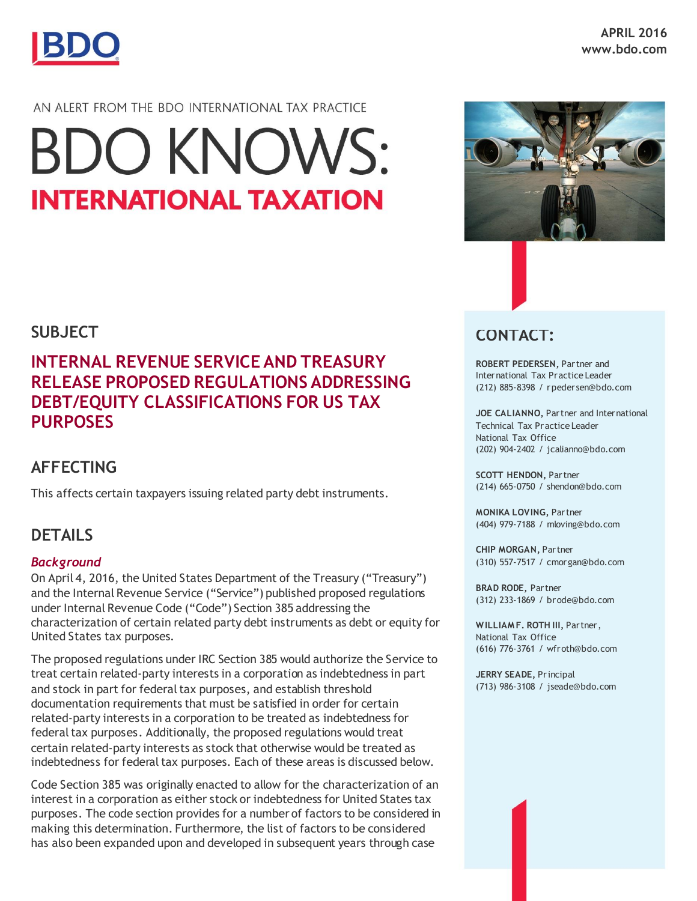

## AN ALERT FROM THE BDO INTERNATIONAL TAX PRACTICE

# **BDO KNOWS: INTERNATIONAL TAXATION**

## **SUBJECT**

# **INTERNAL REVENUE SERVICE AND TREASURY RELEASE PROPOSED REGULATIONS ADDRESSING DEBT/EQUITY CLASSIFICATIONS FOR US TAX PURPOSES**

# **AFFECTING**

This affects certain taxpayers issuing related party debt instruments.

## **DETAILS**

## *Background*

On April 4, 2016, the United States Department of the Treasury ("Treasury") and the Internal Revenue Service ("Service") published proposed regulations under Internal Revenue Code ("Code") Section 385 addressing the characterization of certain related party debt instruments as debt or equity for United States tax purposes.

The proposed regulations under IRC Section 385 would authorize the Service to treat certain related-party interests in a corporation as indebtedness in part and stock in part for federal tax purposes, and establish threshold documentation requirements that must be satisfied in order for certain related-party interests in a corporation to be treated as indebtedness for federal tax purposes. Additionally, the proposed regulations would treat certain related-party interests as stock that otherwise would be treated as indebtedness for federal tax purposes. Each of these areas is discussed below.

Code Section 385 was originally enacted to allow for the characterization of an interest in a corporation as either stock or indebtedness for United States tax purposes. The code section provides for a number of factors to be considered in making this determination. Furthermore, the list of factors to be considered has also been expanded upon and developed in subsequent years through case



## **CONTACT:**

**ROBERT PEDERSEN,** Partner and International Tax Practice Leader (212) 885-8398 / rpedersen@bdo.com

**JOE CALIANNO,** Partner and International Technical Tax Practice Leader National Tax Office (202) 904-2402 / jcalianno@bdo.com

**SCOTT HENDON,** Partner (214) 665-0750 / shendon@bdo.com

**MONIKA LOVING,** Partner (404) 979-7188 / mloving@bdo.com

**CHIP MORGAN,** Partner (310) 557-7517 / cmorgan@bdo.com

**BRAD RODE,** Partner (312) 233-1869 / brode@bdo.com

**WILLIAM F. ROTH III,** Partner, National Tax Office (616) 776-3761 / wfroth@bdo.com

**JERRY SEADE,** Principal (713) 986-3108 / jseade@bdo.com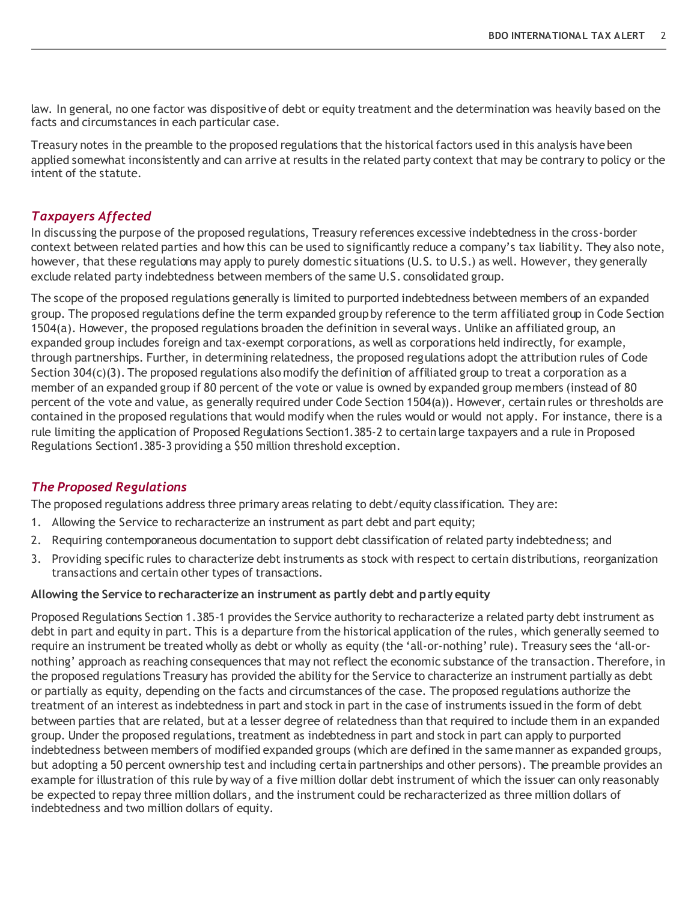law. In general, no one factor was dispositive of debt or equity treatment and the determination was heavily based on the facts and circumstances in each particular case.

Treasury notes in the preamble to the proposed regulations that the historical factors used in this analysis have been applied somewhat inconsistently and can arrive at results in the related party context that may be contrary to policy or the intent of the statute.

#### *Taxpayers Affected*

In discussing the purpose of the proposed regulations, Treasury references excessive indebtedness in the cross-border context between related parties and how this can be used to significantly reduce a company's tax liability. They also note, however, that these regulations may apply to purely domestic situations (U.S. to U.S.) as well. However, they generally exclude related party indebtedness between members of the same U.S. consolidated group.

The scope of the proposed regulations generally is limited to purported indebtedness between members of an expanded group. The proposed regulations define the term expanded group by reference to the term affiliated group in Code Section 1504(a). However, the proposed regulations broaden the definition in several ways. Unlike an affiliated group, an expanded group includes foreign and tax-exempt corporations, as well as corporations held indirectly, for example, through partnerships. Further, in determining relatedness, the proposed regulations adopt the attribution rules of Code Section 304(c)(3). The proposed regulations also modify the definition of affiliated group to treat a corporation as a member of an expanded group if 80 percent of the vote or value is owned by expanded group members (instead of 80 percent of the vote and value, as generally required under Code Section 1504(a)). However, certain rules or thresholds are contained in the proposed regulations that would modify when the rules would or would not apply. For instance, there is a rule limiting the application of Proposed Regulations Section1.385-2 to certain large taxpayers and a rule in Proposed Regulations Section1.385-3 providing a \$50 million threshold exception.

#### *The Proposed Regulations*

The proposed regulations address three primary areas relating to debt/equity classification. They are:

- 1. Allowing the Service to recharacterize an instrument as part debt and part equity;
- 2. Requiring contemporaneous documentation to support debt classification of related party indebtedness; and
- 3. Providing specific rules to characterize debt instruments as stock with respect to certain distributions, reorganization transactions and certain other types of transactions.

#### **Allowing the Service to recharacterize an instrument as partly debt and partly equity**

Proposed Regulations Section 1.385-1 provides the Service authority to recharacterize a related party debt instrument as debt in part and equity in part. This is a departure from the historical application of the rules, which generally seemed to require an instrument be treated wholly as debt or wholly as equity (the 'all-or-nothing' rule). Treasury sees the 'all-ornothing' approach as reaching consequences that may not reflect the economic substance of the transaction. Therefore, in the proposed regulations Treasury has provided the ability for the Service to characterize an instrument partially as debt or partially as equity, depending on the facts and circumstances of the case. The proposed regulations authorize the treatment of an interest as indebtedness in part and stock in part in the case of instruments issued in the form of debt between parties that are related, but at a lesser degree of relatedness than that required to include them in an expanded group. Under the proposed regulations, treatment as indebtedness in part and stock in part can apply to purported indebtedness between members of modified expanded groups (which are defined in the same manner as expanded groups, but adopting a 50 percent ownership test and including certain partnerships and other persons). The preamble provides an example for illustration of this rule by way of a five million dollar debt instrument of which the issuer can only reasonably be expected to repay three million dollars, and the instrument could be recharacterized as three million dollars of indebtedness and two million dollars of equity.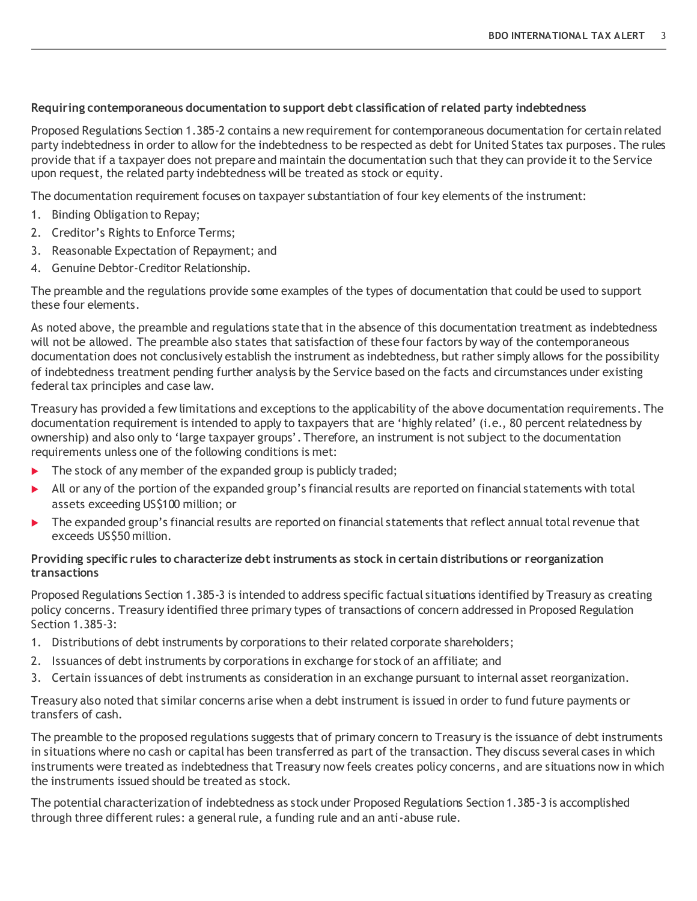#### **Requiring contemporaneous documentation to support debt classification of related party indebtedness**

Proposed Regulations Section 1.385-2 contains a new requirement for contemporaneous documentation for certain related party indebtedness in order to allow for the indebtedness to be respected as debt for United States tax purposes. The rules provide that if a taxpayer does not prepare and maintain the documentation such that they can provide it to the Service upon request, the related party indebtedness will be treated as stock or equity.

The documentation requirement focuses on taxpayer substantiation of four key elements of the instrument:

- 1. Binding Obligation to Repay;
- 2. Creditor's Rights to Enforce Terms;
- 3. Reasonable Expectation of Repayment; and
- 4. Genuine Debtor-Creditor Relationship.

The preamble and the regulations provide some examples of the types of documentation that could be used to support these four elements.

As noted above, the preamble and regulations state that in the absence of this documentation treatment as indebtedness will not be allowed. The preamble also states that satisfaction of these four factors by way of the contemporaneous documentation does not conclusively establish the instrument as indebtedness, but rather simply allows for the possibility of indebtedness treatment pending further analysis by the Service based on the facts and circumstances under existing federal tax principles and case law.

Treasury has provided a few limitations and exceptions to the applicability of the above documentation requirements. The documentation requirement is intended to apply to taxpayers that are 'highly related' (i.e., 80 percent relatedness by ownership) and also only to 'large taxpayer groups'. Therefore, an instrument is not subject to the documentation requirements unless one of the following conditions is met:

- $\blacktriangleright$  The stock of any member of the expanded group is publicly traded;
- In All or any of the portion of the expanded group's financial results are reported on financial statements with total assets exceeding US\$100 million; or
- The expanded group's financial results are reported on financial statements that reflect annual total revenue that exceeds US\$50 million.

#### **Providing specific rules to characterize debt instruments as stock in certain distributions or reorganization transactions**

Proposed Regulations Section 1.385-3 is intended to address specific factual situations identified by Treasury as creating policy concerns. Treasury identified three primary types of transactions of concern addressed in Proposed Regulation Section 1.385-3:

- 1. Distributions of debt instruments by corporations to their related corporate shareholders;
- 2. Issuances of debt instruments by corporations in exchange for stock of an affiliate; and
- 3. Certain issuances of debt instruments as consideration in an exchange pursuant to internal asset reorganization.

Treasury also noted that similar concerns arise when a debt instrument is issued in order to fund future payments or transfers of cash.

The preamble to the proposed regulations suggests that of primary concern to Treasury is the issuance of debt instruments in situations where no cash or capital has been transferred as part of the transaction. They discuss several cases in which instruments were treated as indebtedness that Treasury now feels creates policy concerns, and are situations now in which the instruments issued should be treated as stock.

The potential characterization of indebtedness as stock under Proposed Regulations Section 1.385-3 is accomplished through three different rules: a general rule, a funding rule and an anti-abuse rule.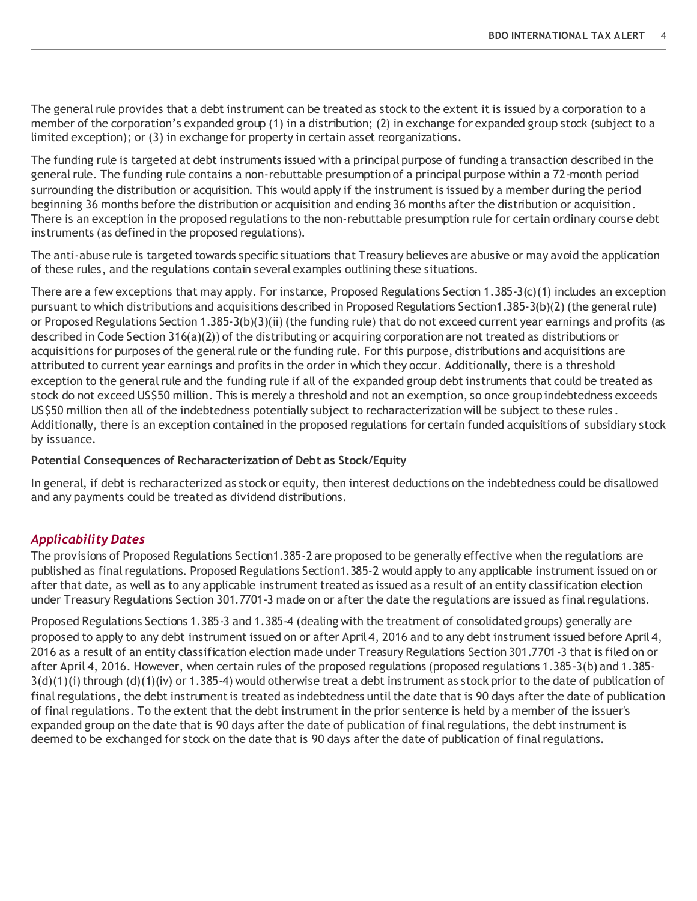The general rule provides that a debt instrument can be treated as stock to the extent it is issued by a corporation to a member of the corporation's expanded group (1) in a distribution; (2) in exchange for expanded group stock (subject to a limited exception); or (3) in exchange for property in certain asset reorganizations.

The funding rule is targeted at debt instruments issued with a principal purpose of funding a transaction described in the general rule. The funding rule contains a non-rebuttable presumption of a principal purpose within a 72-month period surrounding the distribution or acquisition. This would apply if the instrument is issued by a member during the period beginning 36 months before the distribution or acquisition and ending 36 months after the distribution or acquisition. There is an exception in the proposed regulations to the non-rebuttable presumption rule for certain ordinary course debt instruments (as defined in the proposed regulations).

The anti-abuse rule is targeted towards specific situations that Treasury believes are abusive or may avoid the application of these rules, and the regulations contain several examples outlining these situations.

There are a few exceptions that may apply. For instance, Proposed Regulations Section 1.385-3(c)(1) includes an exception pursuant to which distributions and acquisitions described in Proposed Regulations Section1.385-3(b)(2) (the general rule) or Proposed Regulations Section 1.385-3(b)(3)(ii) (the funding rule) that do not exceed current year earnings and profits (as described in Code Section 316(a)(2)) of the distributing or acquiring corporation are not treated as distributions or acquisitions for purposes of the general rule or the funding rule. For this purpose, distributions and acquisitions are attributed to current year earnings and profits in the order in which they occur. Additionally, there is a threshold exception to the general rule and the funding rule if all of the expanded group debt instruments that could be treated as stock do not exceed US\$50 million. This is merely a threshold and not an exemption, so once group indebtedness exceeds US\$50 million then all of the indebtedness potentially subject to recharacterization will be subject to these rules . Additionally, there is an exception contained in the proposed regulations for certain funded acquisitions of subsidiary stock by issuance.

#### **Potential Consequences of Recharacterization of Debt as Stock/Equity**

In general, if debt is recharacterized as stock or equity, then interest deductions on the indebtedness could be disallowed and any payments could be treated as dividend distributions.

## *Applicability Dates*

The provisions of Proposed Regulations Section1.385-2 are proposed to be generally effective when the regulations are published as final regulations. Proposed Regulations Section1.385-2 would apply to any applicable instrument issued on or after that date, as well as to any applicable instrument treated as issued as a result of an entity classification election under Treasury Regulations Section 301.7701-3 made on or after the date the regulations are issued as final regulations.

Proposed Regulations Sections 1.385-3 and 1.385-4 (dealing with the treatment of consolidated groups) generally are proposed to apply to any debt instrument issued on or after April 4, 2016 and to any debt instrument issued before April 4, 2016 as a result of an entity classification election made under Treasury Regulations Section 301.7701-3 that is filed on or after April 4, 2016. However, when certain rules of the proposed regulations (proposed regulations 1.385-3(b) and 1.385-  $3(d)(1)(i)$  through  $(d)(1)(iv)$  or 1.385-4) would otherwise treat a debt instrument as stock prior to the date of publication of final regulations, the debt instrument is treated as indebtedness until the date that is 90 days after the date of publication of final regulations. To the extent that the debt instrument in the prior sentence is held by a member of the issuer's expanded group on the date that is 90 days after the date of publication of final regulations, the debt instrument is deemed to be exchanged for stock on the date that is 90 days after the date of publication of final regulations.